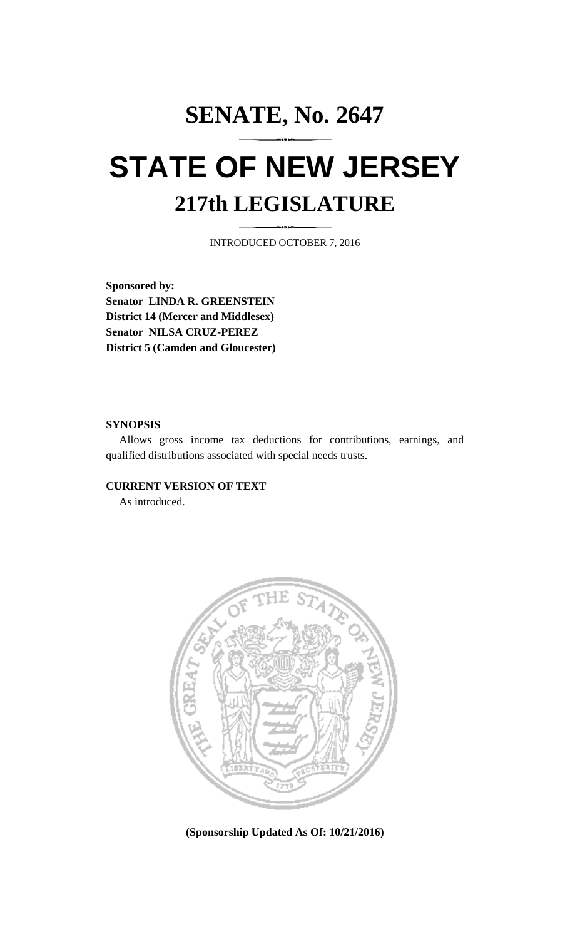## **SENATE, No. 2647 STATE OF NEW JERSEY 217th LEGISLATURE**

INTRODUCED OCTOBER 7, 2016

**Sponsored by: Senator LINDA R. GREENSTEIN District 14 (Mercer and Middlesex) Senator NILSA CRUZ-PEREZ District 5 (Camden and Gloucester)**

## **SYNOPSIS**

Allows gross income tax deductions for contributions, earnings, and qualified distributions associated with special needs trusts.

## **CURRENT VERSION OF TEXT**

As introduced.



**(Sponsorship Updated As Of: 10/21/2016)**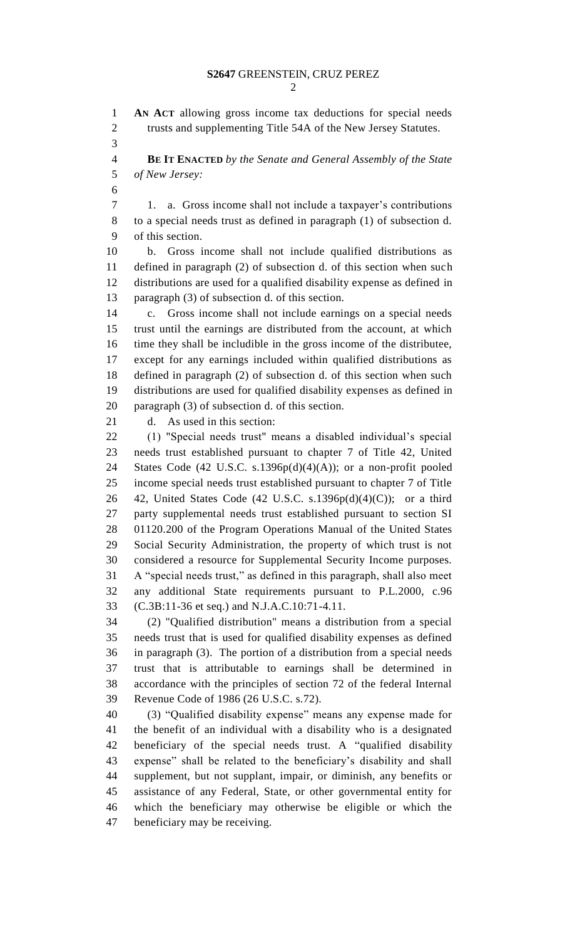**AN ACT** allowing gross income tax deductions for special needs trusts and supplementing Title 54A of the New Jersey Statutes.

 **BE IT ENACTED** *by the Senate and General Assembly of the State of New Jersey:*

 1. a. Gross income shall not include a taxpayer's contributions to a special needs trust as defined in paragraph (1) of subsection d. of this section.

 b. Gross income shall not include qualified distributions as defined in paragraph (2) of subsection d. of this section when such distributions are used for a qualified disability expense as defined in paragraph (3) of subsection d. of this section.

 c. Gross income shall not include earnings on a special needs trust until the earnings are distributed from the account, at which time they shall be includible in the gross income of the distributee, except for any earnings included within qualified distributions as defined in paragraph (2) of subsection d. of this section when such distributions are used for qualified disability expenses as defined in paragraph (3) of subsection d. of this section.

d. As used in this section:

 (1) "Special needs trust" means a disabled individual's special needs trust established pursuant to chapter 7 of Title 42, United 24 States Code (42 U.S.C. s.1396 $p(d)(4)(A)$ ); or a non-profit pooled income special needs trust established pursuant to chapter 7 of Title 26 42, United States Code (42 U.S.C. s.1396p(d)(4)(C)); or a third party supplemental needs trust established pursuant to section SI 01120.200 of the Program Operations Manual of the United States Social Security Administration, the property of which trust is not considered a resource for Supplemental Security Income purposes. A "special needs trust," as defined in this paragraph, shall also meet any additional State requirements pursuant to P.L.2000, c.96 (C.3B:11-36 et seq.) and N.J.A.C.10:71-4.11.

 (2) "Qualified distribution" means a distribution from a special needs trust that is used for qualified disability expenses as defined in paragraph (3). The portion of a distribution from a special needs trust that is attributable to earnings shall be determined in accordance with the principles of section 72 of the federal Internal Revenue Code of 1986 (26 U.S.C. s.72).

 (3) "Qualified disability expense" means any expense made for the benefit of an individual with a disability who is a designated beneficiary of the special needs trust. A "qualified disability expense" shall be related to the beneficiary's disability and shall supplement, but not supplant, impair, or diminish, any benefits or assistance of any Federal, State, or other governmental entity for which the beneficiary may otherwise be eligible or which the beneficiary may be receiving.